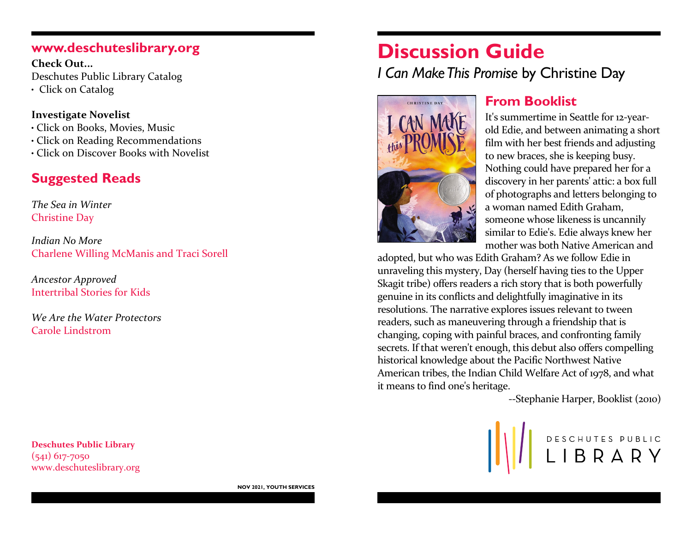### **www.deschuteslibrary.org**

**Check Out...** Deschutes Public Library Catalog

• Click on Catalog

#### **Investigate Novelist**

- Click on Books, Movies, Music
- Click on Reading Recommendations
- Click on Discover Books with Novelist

# **Suggested Reads**

*The Sea in Winter* Christine Day

*Indian No More* Charlene Willing McManis and Traci Sorell

*Ancestor Approved* Intertribal Stories for Kids

*We Are the Water Protectors* Carole Lindstrom

**Deschutes Public Library** (541) 617-7050 www.deschuteslibrary.org

# **Discussion Guide** *I Can Make This Promise* by Christine Day



## **From Booklist**

It's summertime in Seattle for 12-yearold Edie, and between animating a short film with her best friends and adjusting to new braces, she is keeping busy. Nothing could have prepared her for a discovery in her parents' attic: a box full of photographs and letters belonging to a woman named Edith Graham, someone whose likeness is uncannily similar to Edie's. Edie always knew her mother was both Native American and

adopted, but who was Edith Graham? As we follow Edie in unraveling this mystery, Day (herself having ties to the Upper Skagit tribe) offers readers a rich story that is both powerfully genuine in its conflicts and delightfully imaginative in its resolutions. The narrative explores issues relevant to tween readers, such as maneuvering through a friendship that is changing, coping with painful braces, and confronting family secrets. If that weren't enough, this debut also offers compelling historical knowledge about the Pacific Northwest Native American tribes, the Indian Child Welfare Act of 1978, and what it means to find one's heritage.

--Stephanie Harper, Booklist (2010)